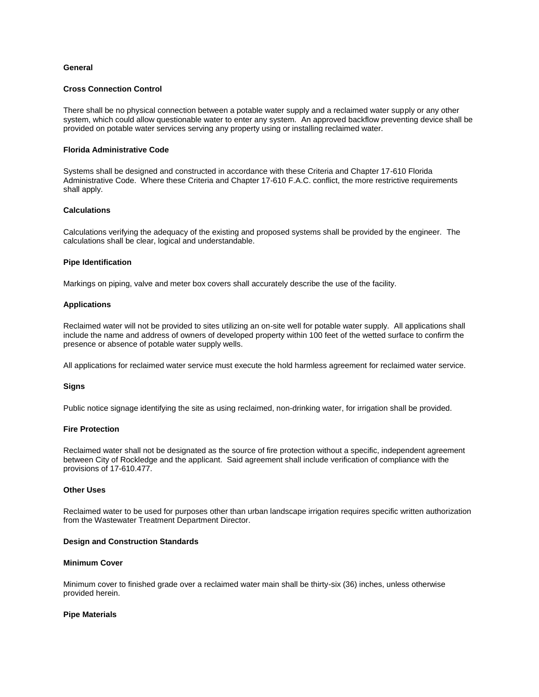# **General**

### **Cross Connection Control**

There shall be no physical connection between a potable water supply and a reclaimed water supply or any other system, which could allow questionable water to enter any system. An approved backflow preventing device shall be provided on potable water services serving any property using or installing reclaimed water.

# **Florida Administrative Code**

Systems shall be designed and constructed in accordance with these Criteria and Chapter 17-610 Florida Administrative Code. Where these Criteria and Chapter 17-610 F.A.C. conflict, the more restrictive requirements shall apply.

# **Calculations**

Calculations verifying the adequacy of the existing and proposed systems shall be provided by the engineer. The calculations shall be clear, logical and understandable.

# **Pipe Identification**

Markings on piping, valve and meter box covers shall accurately describe the use of the facility.

# **Applications**

Reclaimed water will not be provided to sites utilizing an on-site well for potable water supply. All applications shall include the name and address of owners of developed property within 100 feet of the wetted surface to confirm the presence or absence of potable water supply wells.

All applications for reclaimed water service must execute the hold harmless agreement for reclaimed water service.

### **Signs**

Public notice signage identifying the site as using reclaimed, non-drinking water, for irrigation shall be provided.

### **Fire Protection**

Reclaimed water shall not be designated as the source of fire protection without a specific, independent agreement between City of Rockledge and the applicant. Said agreement shall include verification of compliance with the provisions of 17-610.477.

### **Other Uses**

Reclaimed water to be used for purposes other than urban landscape irrigation requires specific written authorization from the Wastewater Treatment Department Director.

### **Design and Construction Standards**

# **Minimum Cover**

Minimum cover to finished grade over a reclaimed water main shall be thirty-six (36) inches, unless otherwise provided herein.

### **Pipe Materials**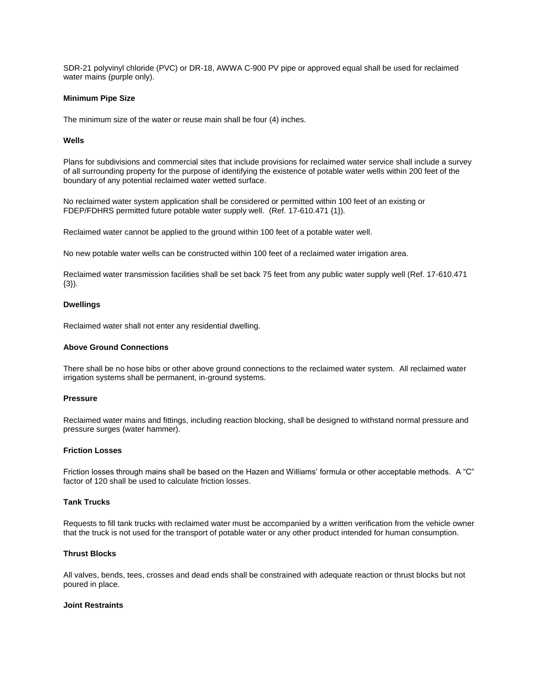SDR-21 polyvinyl chloride (PVC) or DR-18, AWWA C-900 PV pipe or approved equal shall be used for reclaimed water mains (purple only).

### **Minimum Pipe Size**

The minimum size of the water or reuse main shall be four (4) inches.

# **Wells**

Plans for subdivisions and commercial sites that include provisions for reclaimed water service shall include a survey of all surrounding property for the purpose of identifying the existence of potable water wells within 200 feet of the boundary of any potential reclaimed water wetted surface.

No reclaimed water system application shall be considered or permitted within 100 feet of an existing or FDEP/FDHRS permitted future potable water supply well. (Ref. 17-610.471 {1}).

Reclaimed water cannot be applied to the ground within 100 feet of a potable water well.

No new potable water wells can be constructed within 100 feet of a reclaimed water irrigation area.

Reclaimed water transmission facilities shall be set back 75 feet from any public water supply well (Ref. 17-610.471 {3}).

# **Dwellings**

Reclaimed water shall not enter any residential dwelling.

### **Above Ground Connections**

There shall be no hose bibs or other above ground connections to the reclaimed water system. All reclaimed water irrigation systems shall be permanent, in-ground systems.

#### **Pressure**

Reclaimed water mains and fittings, including reaction blocking, shall be designed to withstand normal pressure and pressure surges (water hammer).

# **Friction Losses**

Friction losses through mains shall be based on the Hazen and Williams' formula or other acceptable methods. A "C" factor of 120 shall be used to calculate friction losses.

### **Tank Trucks**

Requests to fill tank trucks with reclaimed water must be accompanied by a written verification from the vehicle owner that the truck is not used for the transport of potable water or any other product intended for human consumption.

#### **Thrust Blocks**

All valves, bends, tees, crosses and dead ends shall be constrained with adequate reaction or thrust blocks but not poured in place.

# **Joint Restraints**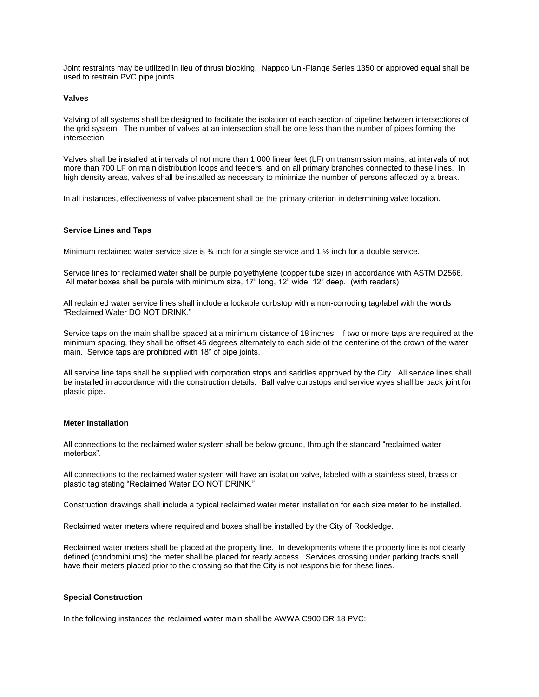Joint restraints may be utilized in lieu of thrust blocking. Nappco Uni-Flange Series 1350 or approved equal shall be used to restrain PVC pipe joints.

#### **Valves**

Valving of all systems shall be designed to facilitate the isolation of each section of pipeline between intersections of the grid system. The number of valves at an intersection shall be one less than the number of pipes forming the intersection.

Valves shall be installed at intervals of not more than 1,000 linear feet (LF) on transmission mains, at intervals of not more than 700 LF on main distribution loops and feeders, and on all primary branches connected to these lines. In high density areas, valves shall be installed as necessary to minimize the number of persons affected by a break.

In all instances, effectiveness of valve placement shall be the primary criterion in determining valve location.

### **Service Lines and Taps**

Minimum reclaimed water service size is ¾ inch for a single service and 1 ½ inch for a double service.

Service lines for reclaimed water shall be purple polyethylene (copper tube size) in accordance with ASTM D2566. All meter boxes shall be purple with minimum size, 17" long, 12" wide, 12" deep. (with readers)

All reclaimed water service lines shall include a lockable curbstop with a non-corroding tag/label with the words "Reclaimed Water DO NOT DRINK."

Service taps on the main shall be spaced at a minimum distance of 18 inches. If two or more taps are required at the minimum spacing, they shall be offset 45 degrees alternately to each side of the centerline of the crown of the water main. Service taps are prohibited with 18" of pipe joints.

All service line taps shall be supplied with corporation stops and saddles approved by the City. All service lines shall be installed in accordance with the construction details. Ball valve curbstops and service wyes shall be pack joint for plastic pipe.

#### **Meter Installation**

All connections to the reclaimed water system shall be below ground, through the standard "reclaimed water meterbox".

All connections to the reclaimed water system will have an isolation valve, labeled with a stainless steel, brass or plastic tag stating "Reclaimed Water DO NOT DRINK."

Construction drawings shall include a typical reclaimed water meter installation for each size meter to be installed.

Reclaimed water meters where required and boxes shall be installed by the City of Rockledge.

Reclaimed water meters shall be placed at the property line. In developments where the property line is not clearly defined (condominiums) the meter shall be placed for ready access. Services crossing under parking tracts shall have their meters placed prior to the crossing so that the City is not responsible for these lines.

# **Special Construction**

In the following instances the reclaimed water main shall be AWWA C900 DR 18 PVC: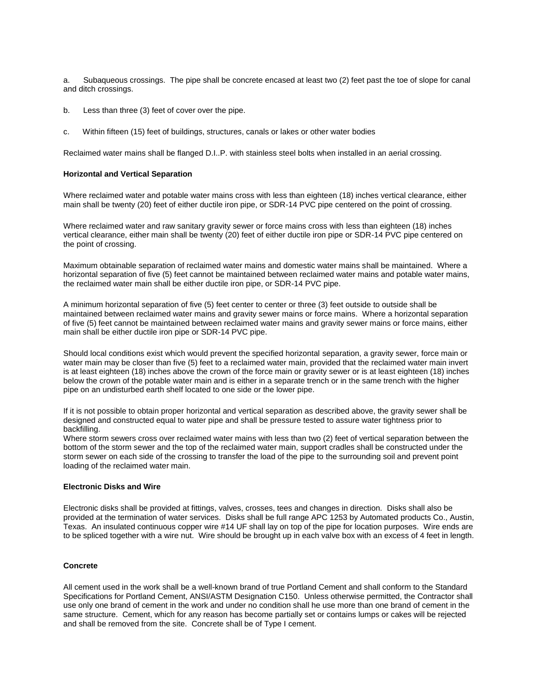a. Subaqueous crossings. The pipe shall be concrete encased at least two (2) feet past the toe of slope for canal and ditch crossings.

- b. Less than three (3) feet of cover over the pipe.
- c. Within fifteen (15) feet of buildings, structures, canals or lakes or other water bodies

Reclaimed water mains shall be flanged D.I..P. with stainless steel bolts when installed in an aerial crossing.

### **Horizontal and Vertical Separation**

Where reclaimed water and potable water mains cross with less than eighteen (18) inches vertical clearance, either main shall be twenty (20) feet of either ductile iron pipe, or SDR-14 PVC pipe centered on the point of crossing.

Where reclaimed water and raw sanitary gravity sewer or force mains cross with less than eighteen (18) inches vertical clearance, either main shall be twenty (20) feet of either ductile iron pipe or SDR-14 PVC pipe centered on the point of crossing.

Maximum obtainable separation of reclaimed water mains and domestic water mains shall be maintained. Where a horizontal separation of five (5) feet cannot be maintained between reclaimed water mains and potable water mains, the reclaimed water main shall be either ductile iron pipe, or SDR-14 PVC pipe.

A minimum horizontal separation of five (5) feet center to center or three (3) feet outside to outside shall be maintained between reclaimed water mains and gravity sewer mains or force mains. Where a horizontal separation of five (5) feet cannot be maintained between reclaimed water mains and gravity sewer mains or force mains, either main shall be either ductile iron pipe or SDR-14 PVC pipe.

Should local conditions exist which would prevent the specified horizontal separation, a gravity sewer, force main or water main may be closer than five (5) feet to a reclaimed water main, provided that the reclaimed water main invert is at least eighteen (18) inches above the crown of the force main or gravity sewer or is at least eighteen (18) inches below the crown of the potable water main and is either in a separate trench or in the same trench with the higher pipe on an undisturbed earth shelf located to one side or the lower pipe.

If it is not possible to obtain proper horizontal and vertical separation as described above, the gravity sewer shall be designed and constructed equal to water pipe and shall be pressure tested to assure water tightness prior to backfilling.

Where storm sewers cross over reclaimed water mains with less than two (2) feet of vertical separation between the bottom of the storm sewer and the top of the reclaimed water main, support cradles shall be constructed under the storm sewer on each side of the crossing to transfer the load of the pipe to the surrounding soil and prevent point loading of the reclaimed water main.

# **Electronic Disks and Wire**

Electronic disks shall be provided at fittings, valves, crosses, tees and changes in direction. Disks shall also be provided at the termination of water services. Disks shall be full range APC 1253 by Automated products Co., Austin, Texas. An insulated continuous copper wire #14 UF shall lay on top of the pipe for location purposes. Wire ends are to be spliced together with a wire nut. Wire should be brought up in each valve box with an excess of 4 feet in length.

# **Concrete**

All cement used in the work shall be a well-known brand of true Portland Cement and shall conform to the Standard Specifications for Portland Cement, ANSI/ASTM Designation C150. Unless otherwise permitted, the Contractor shall use only one brand of cement in the work and under no condition shall he use more than one brand of cement in the same structure. Cement, which for any reason has become partially set or contains lumps or cakes will be rejected and shall be removed from the site. Concrete shall be of Type I cement.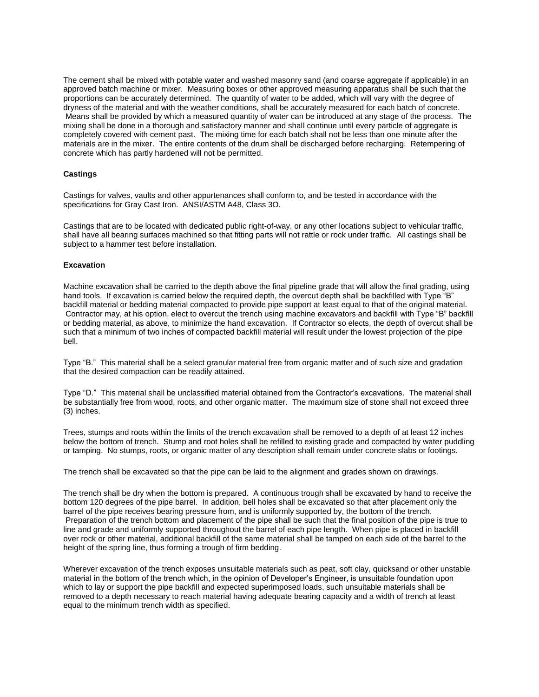The cement shall be mixed with potable water and washed masonry sand (and coarse aggregate if applicable) in an approved batch machine or mixer. Measuring boxes or other approved measuring apparatus shall be such that the proportions can be accurately determined. The quantity of water to be added, which will vary with the degree of dryness of the material and with the weather conditions, shall be accurately measured for each batch of concrete. Means shall be provided by which a measured quantity of water can be introduced at any stage of the process. The mixing shall be done in a thorough and satisfactory manner and shall continue until every particle of aggregate is completely covered with cement past. The mixing time for each batch shall not be less than one minute after the materials are in the mixer. The entire contents of the drum shall be discharged before recharging. Retempering of concrete which has partly hardened will not be permitted.

# **Castings**

Castings for valves, vaults and other appurtenances shall conform to, and be tested in accordance with the specifications for Gray Cast Iron. ANSI/ASTM A48, Class 3O.

Castings that are to be located with dedicated public right-of-way, or any other locations subject to vehicular traffic, shall have all bearing surfaces machined so that fitting parts will not rattle or rock under traffic. All castings shall be subject to a hammer test before installation.

### **Excavation**

Machine excavation shall be carried to the depth above the final pipeline grade that will allow the final grading, using hand tools. If excavation is carried below the required depth, the overcut depth shall be backfilled with Type "B" backfill material or bedding material compacted to provide pipe support at least equal to that of the original material. Contractor may, at his option, elect to overcut the trench using machine excavators and backfill with Type "B" backfill or bedding material, as above, to minimize the hand excavation. If Contractor so elects, the depth of overcut shall be such that a minimum of two inches of compacted backfill material will result under the lowest projection of the pipe bell.

Type "B." This material shall be a select granular material free from organic matter and of such size and gradation that the desired compaction can be readily attained.

Type "D." This material shall be unclassified material obtained from the Contractor's excavations. The material shall be substantially free from wood, roots, and other organic matter. The maximum size of stone shall not exceed three (3) inches.

Trees, stumps and roots within the limits of the trench excavation shall be removed to a depth of at least 12 inches below the bottom of trench. Stump and root holes shall be refilled to existing grade and compacted by water puddling or tamping. No stumps, roots, or organic matter of any description shall remain under concrete slabs or footings.

The trench shall be excavated so that the pipe can be laid to the alignment and grades shown on drawings.

The trench shall be dry when the bottom is prepared. A continuous trough shall be excavated by hand to receive the bottom 120 degrees of the pipe barrel. In addition, bell holes shall be excavated so that after placement only the barrel of the pipe receives bearing pressure from, and is uniformly supported by, the bottom of the trench. Preparation of the trench bottom and placement of the pipe shall be such that the final position of the pipe is true to line and grade and uniformly supported throughout the barrel of each pipe length. When pipe is placed in backfill over rock or other material, additional backfill of the same material shall be tamped on each side of the barrel to the height of the spring line, thus forming a trough of firm bedding.

Wherever excavation of the trench exposes unsuitable materials such as peat, soft clay, quicksand or other unstable material in the bottom of the trench which, in the opinion of Developer's Engineer, is unsuitable foundation upon which to lay or support the pipe backfill and expected superimposed loads, such unsuitable materials shall be removed to a depth necessary to reach material having adequate bearing capacity and a width of trench at least equal to the minimum trench width as specified.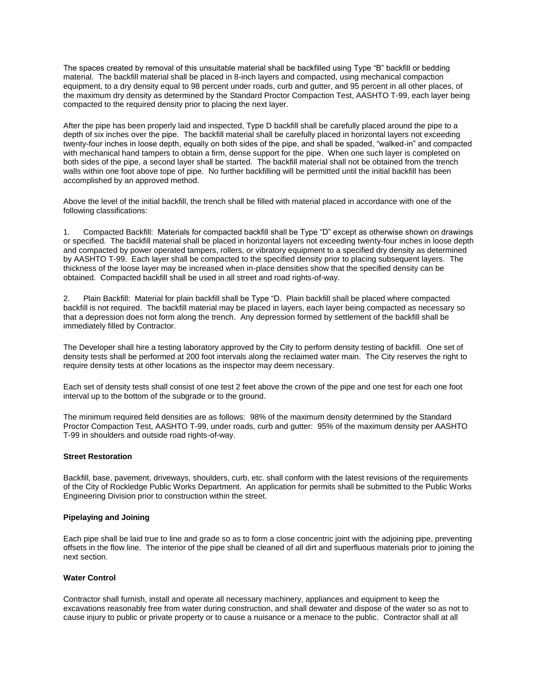The spaces created by removal of this unsuitable material shall be backfilled using Type "B" backfill or bedding material. The backfill material shall be placed in 8-inch layers and compacted, using mechanical compaction equipment, to a dry density equal to 98 percent under roads, curb and gutter, and 95 percent in all other places, of the maximum dry density as determined by the Standard Proctor Compaction Test, AASHTO T-99, each layer being compacted to the required density prior to placing the next layer.

After the pipe has been properly laid and inspected, Type D backfill shall be carefully placed around the pipe to a depth of six inches over the pipe. The backfill material shall be carefully placed in horizontal layers not exceeding twenty-four inches in loose depth, equally on both sides of the pipe, and shall be spaded, "walked-in" and compacted with mechanical hand tampers to obtain a firm, dense support for the pipe. When one such layer is completed on both sides of the pipe, a second layer shall be started. The backfill material shall not be obtained from the trench walls within one foot above tope of pipe. No further backfilling will be permitted until the initial backfill has been accomplished by an approved method.

Above the level of the initial backfill, the trench shall be filled with material placed in accordance with one of the following classifications:

1. Compacted Backfill: Materials for compacted backfill shall be Type "D" except as otherwise shown on drawings or specified. The backfill material shall be placed in horizontal layers not exceeding twenty-four inches in loose depth and compacted by power operated tampers, rollers, or vibratory equipment to a specified dry density as determined by AASHTO T-99. Each layer shall be compacted to the specified density prior to placing subsequent layers. The thickness of the loose layer may be increased when in-place densities show that the specified density can be obtained. Compacted backfill shall be used in all street and road rights-of-way.

2. Plain Backfill: Material for plain backfill shall be Type "D. Plain backfill shall be placed where compacted backfill is not required. The backfill material may be placed in layers, each layer being compacted as necessary so that a depression does not form along the trench. Any depression formed by settlement of the backfill shall be immediately filled by Contractor.

The Developer shall hire a testing laboratory approved by the City to perform density testing of backfill. One set of density tests shall be performed at 200 foot intervals along the reclaimed water main. The City reserves the right to require density tests at other locations as the inspector may deem necessary.

Each set of density tests shall consist of one test 2 feet above the crown of the pipe and one test for each one foot interval up to the bottom of the subgrade or to the ground.

The minimum required field densities are as follows: 98% of the maximum density determined by the Standard Proctor Compaction Test, AASHTO T-99, under roads, curb and gutter: 95% of the maximum density per AASHTO T-99 in shoulders and outside road rights-of-way.

# **Street Restoration**

Backfill, base, pavement, driveways, shoulders, curb, etc. shall conform with the latest revisions of the requirements of the City of Rockledge Public Works Department. An application for permits shall be submitted to the Public Works Engineering Division prior to construction within the street.

### **Pipelaying and Joining**

Each pipe shall be laid true to line and grade so as to form a close concentric joint with the adjoining pipe, preventing offsets in the flow line. The interior of the pipe shall be cleaned of all dirt and superfluous materials prior to joining the next section.

### **Water Control**

Contractor shall furnish, install and operate all necessary machinery, appliances and equipment to keep the excavations reasonably free from water during construction, and shall dewater and dispose of the water so as not to cause injury to public or private property or to cause a nuisance or a menace to the public. Contractor shall at all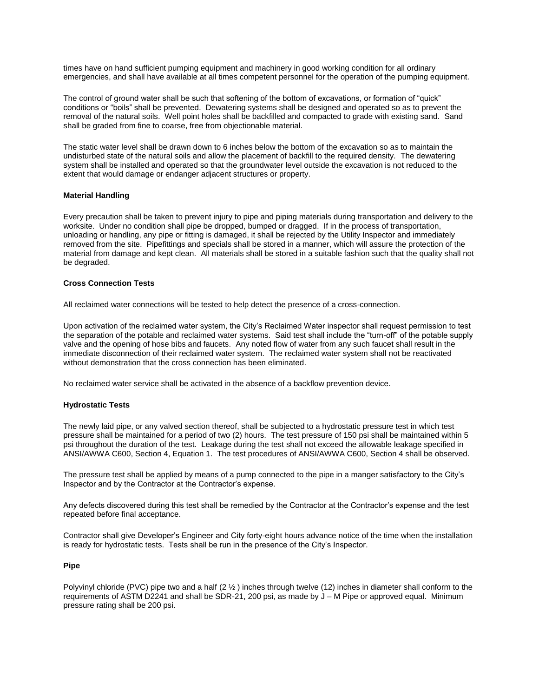times have on hand sufficient pumping equipment and machinery in good working condition for all ordinary emergencies, and shall have available at all times competent personnel for the operation of the pumping equipment.

The control of ground water shall be such that softening of the bottom of excavations, or formation of "quick" conditions or "boils" shall be prevented. Dewatering systems shall be designed and operated so as to prevent the removal of the natural soils. Well point holes shall be backfilled and compacted to grade with existing sand. Sand shall be graded from fine to coarse, free from objectionable material.

The static water level shall be drawn down to 6 inches below the bottom of the excavation so as to maintain the undisturbed state of the natural soils and allow the placement of backfill to the required density. The dewatering system shall be installed and operated so that the groundwater level outside the excavation is not reduced to the extent that would damage or endanger adjacent structures or property.

### **Material Handling**

Every precaution shall be taken to prevent injury to pipe and piping materials during transportation and delivery to the worksite. Under no condition shall pipe be dropped, bumped or dragged. If in the process of transportation, unloading or handling, any pipe or fitting is damaged, it shall be rejected by the Utility Inspector and immediately removed from the site. Pipefittings and specials shall be stored in a manner, which will assure the protection of the material from damage and kept clean. All materials shall be stored in a suitable fashion such that the quality shall not be degraded.

# **Cross Connection Tests**

All reclaimed water connections will be tested to help detect the presence of a cross-connection.

Upon activation of the reclaimed water system, the City's Reclaimed Water inspector shall request permission to test the separation of the potable and reclaimed water systems. Said test shall include the "turn-off" of the potable supply valve and the opening of hose bibs and faucets. Any noted flow of water from any such faucet shall result in the immediate disconnection of their reclaimed water system. The reclaimed water system shall not be reactivated without demonstration that the cross connection has been eliminated.

No reclaimed water service shall be activated in the absence of a backflow prevention device.

### **Hydrostatic Tests**

The newly laid pipe, or any valved section thereof, shall be subjected to a hydrostatic pressure test in which test pressure shall be maintained for a period of two (2) hours. The test pressure of 150 psi shall be maintained within 5 psi throughout the duration of the test. Leakage during the test shall not exceed the allowable leakage specified in ANSI/AWWA C600, Section 4, Equation 1. The test procedures of ANSI/AWWA C600, Section 4 shall be observed.

The pressure test shall be applied by means of a pump connected to the pipe in a manger satisfactory to the City's Inspector and by the Contractor at the Contractor's expense.

Any defects discovered during this test shall be remedied by the Contractor at the Contractor's expense and the test repeated before final acceptance.

Contractor shall give Developer's Engineer and City forty-eight hours advance notice of the time when the installation is ready for hydrostatic tests. Tests shall be run in the presence of the City's Inspector.

### **Pipe**

Polyvinyl chloride (PVC) pipe two and a half  $(2 \frac{1}{2})$  inches through twelve (12) inches in diameter shall conform to the requirements of ASTM D2241 and shall be SDR-21, 200 psi, as made by J – M Pipe or approved equal. Minimum pressure rating shall be 200 psi.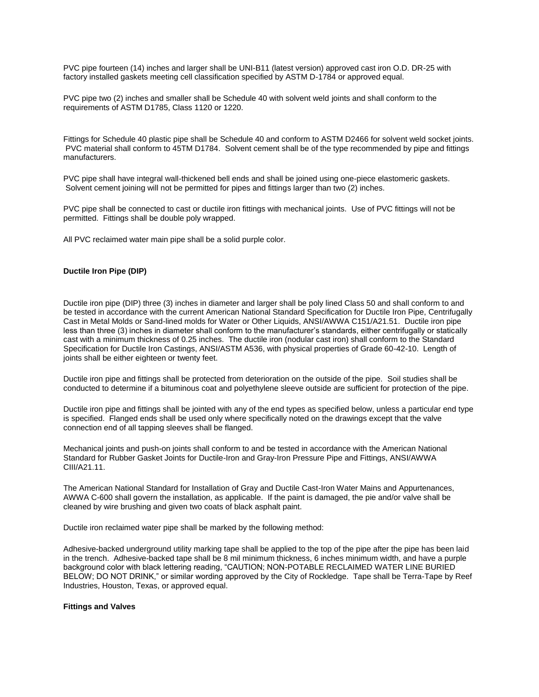PVC pipe fourteen (14) inches and larger shall be UNI-B11 (latest version) approved cast iron O.D. DR-25 with factory installed gaskets meeting cell classification specified by ASTM D-1784 or approved equal.

PVC pipe two (2) inches and smaller shall be Schedule 40 with solvent weld joints and shall conform to the requirements of ASTM D1785, Class 1120 or 1220.

Fittings for Schedule 40 plastic pipe shall be Schedule 40 and conform to ASTM D2466 for solvent weld socket joints. PVC material shall conform to 45TM D1784. Solvent cement shall be of the type recommended by pipe and fittings manufacturers.

PVC pipe shall have integral wall-thickened bell ends and shall be joined using one-piece elastomeric gaskets. Solvent cement joining will not be permitted for pipes and fittings larger than two (2) inches.

PVC pipe shall be connected to cast or ductile iron fittings with mechanical joints. Use of PVC fittings will not be permitted. Fittings shall be double poly wrapped.

All PVC reclaimed water main pipe shall be a solid purple color.

### **Ductile Iron Pipe (DIP)**

Ductile iron pipe (DIP) three (3) inches in diameter and larger shall be poly lined Class 50 and shall conform to and be tested in accordance with the current American National Standard Specification for Ductile Iron Pipe, Centrifugally Cast in Metal Molds or Sand-lined molds for Water or Other Liquids, ANSI/AWWA C151/A21.51. Ductile iron pipe less than three (3) inches in diameter shall conform to the manufacturer's standards, either centrifugally or statically cast with a minimum thickness of 0.25 inches. The ductile iron (nodular cast iron) shall conform to the Standard Specification for Ductile Iron Castings, ANSI/ASTM A536, with physical properties of Grade 60-42-10. Length of joints shall be either eighteen or twenty feet.

Ductile iron pipe and fittings shall be protected from deterioration on the outside of the pipe. Soil studies shall be conducted to determine if a bituminous coat and polyethylene sleeve outside are sufficient for protection of the pipe.

Ductile iron pipe and fittings shall be jointed with any of the end types as specified below, unless a particular end type is specified. Flanged ends shall be used only where specifically noted on the drawings except that the valve connection end of all tapping sleeves shall be flanged.

Mechanical joints and push-on joints shall conform to and be tested in accordance with the American National Standard for Rubber Gasket Joints for Ductile-Iron and Gray-Iron Pressure Pipe and Fittings, ANSI/AWWA CIII/A21.11.

The American National Standard for Installation of Gray and Ductile Cast-Iron Water Mains and Appurtenances, AWWA C-600 shall govern the installation, as applicable. If the paint is damaged, the pie and/or valve shall be cleaned by wire brushing and given two coats of black asphalt paint.

Ductile iron reclaimed water pipe shall be marked by the following method:

Adhesive-backed underground utility marking tape shall be applied to the top of the pipe after the pipe has been laid in the trench. Adhesive-backed tape shall be 8 mil minimum thickness, 6 inches minimum width, and have a purple background color with black lettering reading, "CAUTION; NON-POTABLE RECLAIMED WATER LINE BURIED BELOW; DO NOT DRINK," or similar wording approved by the City of Rockledge. Tape shall be Terra-Tape by Reef Industries, Houston, Texas, or approved equal.

#### **Fittings and Valves**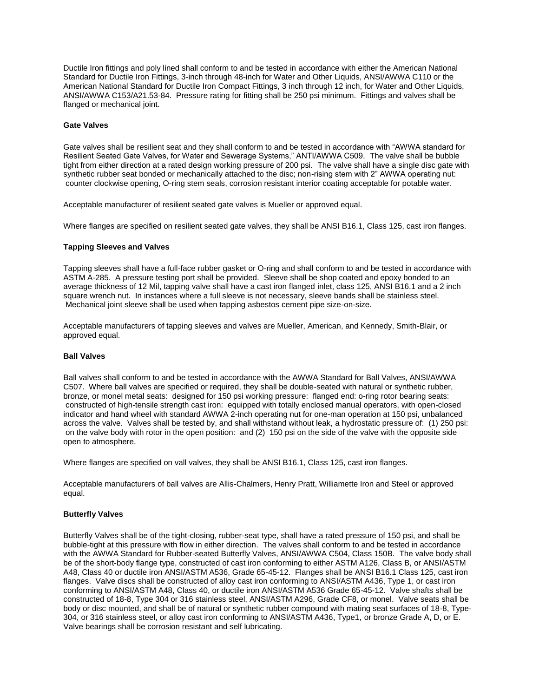Ductile Iron fittings and poly lined shall conform to and be tested in accordance with either the American National Standard for Ductile Iron Fittings, 3-inch through 48-inch for Water and Other Liquids, ANSI/AWWA C110 or the American National Standard for Ductile Iron Compact Fittings, 3 inch through 12 inch, for Water and Other Liquids, ANSI/AWWA C153/A21.53-84. Pressure rating for fitting shall be 250 psi minimum. Fittings and valves shall be flanged or mechanical joint.

### **Gate Valves**

Gate valves shall be resilient seat and they shall conform to and be tested in accordance with "AWWA standard for Resilient Seated Gate Valves, for Water and Sewerage Systems," ANTI/AWWA C509. The valve shall be bubble tight from either direction at a rated design working pressure of 200 psi. The valve shall have a single disc gate with synthetic rubber seat bonded or mechanically attached to the disc; non-rising stem with 2" AWWA operating nut: counter clockwise opening, O-ring stem seals, corrosion resistant interior coating acceptable for potable water.

Acceptable manufacturer of resilient seated gate valves is Mueller or approved equal.

Where flanges are specified on resilient seated gate valves, they shall be ANSI B16.1, Class 125, cast iron flanges.

# **Tapping Sleeves and Valves**

Tapping sleeves shall have a full-face rubber gasket or O-ring and shall conform to and be tested in accordance with ASTM A-285. A pressure testing port shall be provided. Sleeve shall be shop coated and epoxy bonded to an average thickness of 12 Mil, tapping valve shall have a cast iron flanged inlet, class 125, ANSI B16.1 and a 2 inch square wrench nut. In instances where a full sleeve is not necessary, sleeve bands shall be stainless steel. Mechanical joint sleeve shall be used when tapping asbestos cement pipe size-on-size.

Acceptable manufacturers of tapping sleeves and valves are Mueller, American, and Kennedy, Smith-Blair, or approved equal.

### **Ball Valves**

Ball valves shall conform to and be tested in accordance with the AWWA Standard for Ball Valves, ANSI/AWWA C507. Where ball valves are specified or required, they shall be double-seated with natural or synthetic rubber, bronze, or monel metal seats: designed for 150 psi working pressure: flanged end: o-ring rotor bearing seats: constructed of high-tensile strength cast iron: equipped with totally enclosed manual operators, with open-closed indicator and hand wheel with standard AWWA 2-inch operating nut for one-man operation at 150 psi, unbalanced across the valve. Valves shall be tested by, and shall withstand without leak, a hydrostatic pressure of: (1) 250 psi: on the valve body with rotor in the open position: and (2) 150 psi on the side of the valve with the opposite side open to atmosphere.

Where flanges are specified on vall valves, they shall be ANSI B16.1, Class 125, cast iron flanges.

Acceptable manufacturers of ball valves are Allis-Chalmers, Henry Pratt, Williamette Iron and Steel or approved equal.

### **Butterfly Valves**

Butterfly Valves shall be of the tight-closing, rubber-seat type, shall have a rated pressure of 150 psi, and shall be bubble-tight at this pressure with flow in either direction. The valves shall conform to and be tested in accordance with the AWWA Standard for Rubber-seated Butterfly Valves, ANSI/AWWA C504, Class 150B. The valve body shall be of the short-body flange type, constructed of cast iron conforming to either ASTM A126, Class B, or ANSI/ASTM A48, Class 40 or ductile iron ANSI/ASTM A536, Grade 65-45-12. Flanges shall be ANSI B16.1 Class 125, cast iron flanges. Valve discs shall be constructed of alloy cast iron conforming to ANSI/ASTM A436, Type 1, or cast iron conforming to ANSI/ASTM A48, Class 40, or ductile iron ANSI/ASTM A536 Grade 65-45-12. Valve shafts shall be constructed of 18-8, Type 304 or 316 stainless steel, ANSI/ASTM A296, Grade CF8, or monel. Valve seats shall be body or disc mounted, and shall be of natural or synthetic rubber compound with mating seat surfaces of 18-8, Type-304, or 316 stainless steel, or alloy cast iron conforming to ANSI/ASTM A436, Type1, or bronze Grade A, D, or E. Valve bearings shall be corrosion resistant and self lubricating.